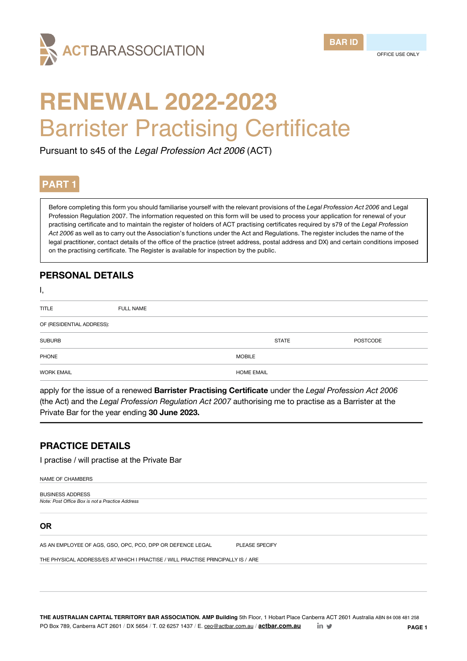



# **RENEWAL 2022-2023** Barrister Practising Certificate

Pursuant to s45 of the *Legal Profession Act 2006* (ACT)

# **PART 1**

Before completing this form you should familiarise yourself with the relevant provisions of the *Legal Profession Act 2006* and Legal Profession Regulation 2007. The information requested on this form will be used to process your application for renewal of your practising certificate and to maintain the register of holders of ACT practising certificates required by s79 of the *Legal Profession Act 2006* as well as to carry out the Association's functions under the Act and Regulations. The register includes the name of the legal practitioner, contact details of the office of the practice (street address, postal address and DX) and certain conditions imposed on the practising certificate. The Register is available for inspection by the public.

# **PERSONAL DETAILS**

| ι,                        |                  |                   |              |                 |
|---------------------------|------------------|-------------------|--------------|-----------------|
| <b>TITLE</b>              | <b>FULL NAME</b> |                   |              |                 |
| OF (RESIDENTIAL ADDRESS): |                  |                   |              |                 |
| <b>SUBURB</b>             |                  |                   | <b>STATE</b> | <b>POSTCODE</b> |
| PHONE                     |                  | <b>MOBILE</b>     |              |                 |
| <b>WORK EMAIL</b>         |                  | <b>HOME EMAIL</b> |              |                 |

apply for the issue of a renewed **Barrister Practising Certificate** under the *Legal Profession Act 2006*  (the Act) and the *Legal Profession Regulation Act 2007* authorising me to practise as a Barrister at the Private Bar for the year ending **30 June 2023.**

# **PRACTICE DETAILS**

I practise / will practise at the Private Bar

NAME OF CHAMBERS

BUSINESS ADDRESS *Note: Post Office Box is not a Practice Address*

#### **OR**

AS AN EMPLOYEE OF AGS, GSO, OPC, PCO, DPP OR DEFENCE LEGAL PLEASE SPECIFY

THE PHYSICAL ADDRESS/ES AT WHICH I PRACTISE / WILL PRACTISE PRINCIPALLY IS / ARE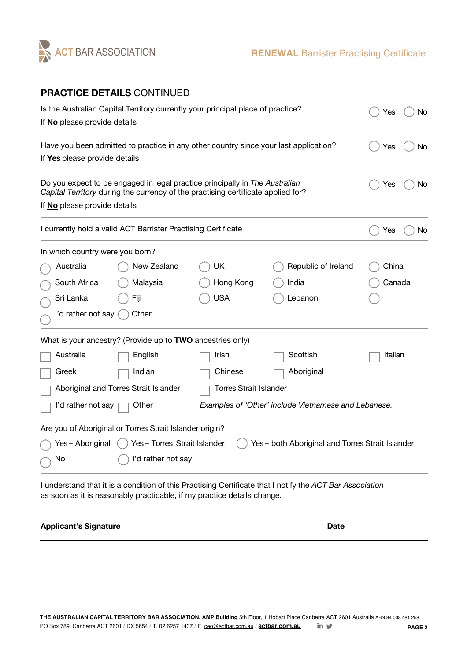

# **PRACTICE DETAILS** CONTINUED

| Is the Australian Capital Territory currently your principal place of practice?<br>If No please provide details       | No<br>Yes                                                                                                                                                       |            |                                                      |           |
|-----------------------------------------------------------------------------------------------------------------------|-----------------------------------------------------------------------------------------------------------------------------------------------------------------|------------|------------------------------------------------------|-----------|
| Have you been admitted to practice in any other country since your last application?<br>If Yes please provide details |                                                                                                                                                                 |            |                                                      | Yes<br>No |
| If No please provide details                                                                                          | Do you expect to be engaged in legal practice principally in The Australian<br>Capital Territory during the currency of the practising certificate applied for? |            |                                                      | No<br>Yes |
|                                                                                                                       | I currently hold a valid ACT Barrister Practising Certificate                                                                                                   |            |                                                      | No<br>Yes |
| In which country were you born?                                                                                       |                                                                                                                                                                 |            |                                                      |           |
| Australia                                                                                                             | New Zealand                                                                                                                                                     | UK         | Republic of Ireland                                  | China     |
| South Africa                                                                                                          | Malaysia                                                                                                                                                        | Hong Kong  | India                                                | Canada    |
| Sri Lanka                                                                                                             | Fiji                                                                                                                                                            | <b>USA</b> | Lebanon                                              |           |
| I'd rather not say                                                                                                    | Other                                                                                                                                                           |            |                                                      |           |
|                                                                                                                       | What is your ancestry? (Provide up to TWO ancestries only)                                                                                                      |            |                                                      |           |
| Australia                                                                                                             | English                                                                                                                                                         | Irish      | Scottish                                             | Italian   |
| Greek                                                                                                                 | Indian                                                                                                                                                          | Chinese    | Aboriginal                                           |           |
| Aboriginal and Torres Strait Islander<br><b>Torres Strait Islander</b>                                                |                                                                                                                                                                 |            |                                                      |           |
| I'd rather not say                                                                                                    | Other                                                                                                                                                           |            | Examples of 'Other' include Vietnamese and Lebanese. |           |
|                                                                                                                       | Are you of Aboriginal or Torres Strait Islander origin?                                                                                                         |            |                                                      |           |
| Yes – Aboriginal                                                                                                      | Yes-Torres Strait Islander                                                                                                                                      |            | Yes - both Aboriginal and Torres Strait Islander     |           |
| No                                                                                                                    | I'd rather not say                                                                                                                                              |            |                                                      |           |
|                                                                                                                       |                                                                                                                                                                 |            |                                                      |           |

I understand that it is a condition of this Practising Certificate that I notify the *ACT Bar Association* as soon as it is reasonably practicable, if my practice details change.

#### **Applicant's Signature Date**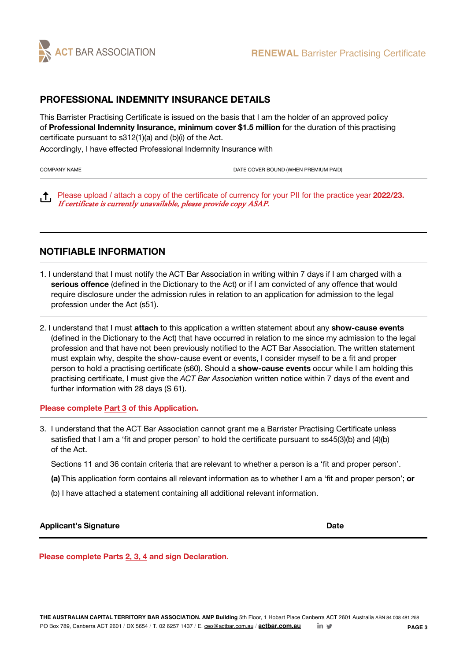

## **PROFESSIONAL INDEMNITY INSURANCE DETAILS**

This Barrister Practising Certificate is issued on the basis that I am the holder of an approved policy of **Professional Indemnity Insurance, minimum cover \$1.5 million** for the duration of this practising certificate pursuant to s312(1)(a) and (b)(i) of the Act.

Accordingly, I have effected Professional Indemnity Insurance with

COMPANY NAME **DATE COVER BOUND (WHEN PREMIUM PAID)** DATE COVER BOUND (WHEN PREMIUM PAID)

 Please upload / attach a copy of the certificate of currency for your PII for the practice year **2022/23.** If certificate is currently unavailable, please provide copy ASAP.

## **NOTIFIABLE INFORMATION**

- 1. I understand that I must notify the ACT Bar Association in writing within 7 days if I am charged with a **serious offence** (defined in the Dictionary to the Act) or if I am convicted of any offence that would require disclosure under the admission rules in relation to an application for admission to the legal profession under the Act (s51).
- 2. I understand that I must **attach** to this application a written statement about any **show-cause events**  (defined in the Dictionary to the Act) that have occurred in relation to me since my admission to the legal profession and that have not been previously notified to the ACT Bar Association. The written statement must explain why, despite the show-cause event or events, I consider myself to be a fit and proper person to hold a practising certificate (s60). Should a **show-cause events** occur while I am holding this practising certificate, I must give the *ACT Bar Association* written notice within 7 days of the event and further information with 28 days (S 61).

#### **Please complete Part 3 of this Application.**

3. I understand that the ACT Bar Association cannot grant me a Barrister Practising Certificate unless satisfied that I am a 'fit and proper person' to hold the certificate pursuant to ss45(3)(b) and (4)(b) of the Act.

Sections 11 and 36 contain criteria that are relevant to whether a person is a 'fit and proper person'.

- **(a)** This application form contains all relevant information as to whether I am a 'fit and proper person'; **or**
- (b) I have attached a statement containing all additional relevant information.

#### **Applicant's Signature Date**

**Please complete Parts 2, 3, 4 and sign Declaration.**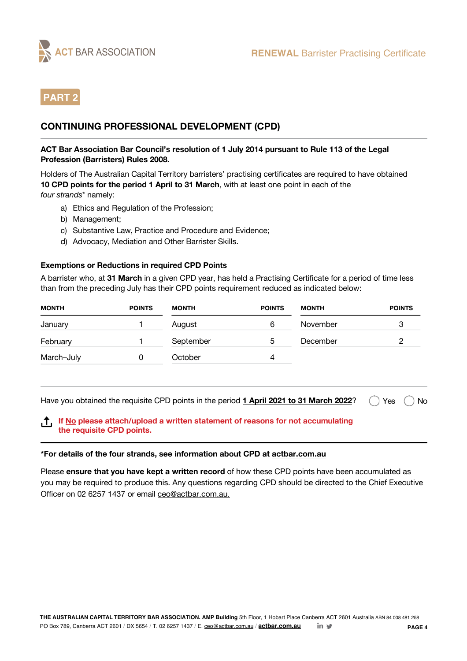

# **PART 2**

# **CONTINUING PROFESSIONAL DEVELOPMENT (CPD)**

#### **ACT Bar Association Bar Council's resolution of 1 July 2014 pursuant to Rule 113 of the Legal Profession (Barristers) Rules 2008.**

Holders of The Australian Capital Territory barristers' practising certificates are required to have obtained **10 CPD points for the period 1 April to 31 March**, with at least one point in each of the *four strands*\* namely:

- a) Ethics and Regulation of the Profession;
- b) Management;
- c) Substantive Law, Practice and Procedure and Evidence;
- d) Advocacy, Mediation and Other Barrister Skills.

#### **Exemptions or Reductions in required CPD Points**

A barrister who, at **31 March** in a given CPD year, has held a Practising Certificate for a period of time less than from the preceding July has their CPD points requirement reduced as indicated below:

| <b>MONTH</b> | <b>POINTS</b> | <b>MONTH</b> | <b>POINTS</b> | <b>MONTH</b> | <b>POINTS</b> |
|--------------|---------------|--------------|---------------|--------------|---------------|
| January      |               | August       | 6             | November     |               |
| February     |               | September    | 5             | December     |               |
| March-July   |               | October      | 4             |              |               |

Have you obtained the requisite CPD points in the period **1 April 2021 to 31 March 2022**?  $\bigcap$  Yes  $\bigcap$  No

#### **If No please attach/upload a written statement of reasons for not accumulating the requisite CPD points.**

#### **\*For details of the four strands, see information about CPD at actbar.com.au**

Please **ensure that you have kept a written record** of how these CPD points have been accumulated as you may be required to produce this. Any questions regarding CPD should be directed to the Chief Executive Officer on 02 6257 1437 or email ceo@actbar.com.au.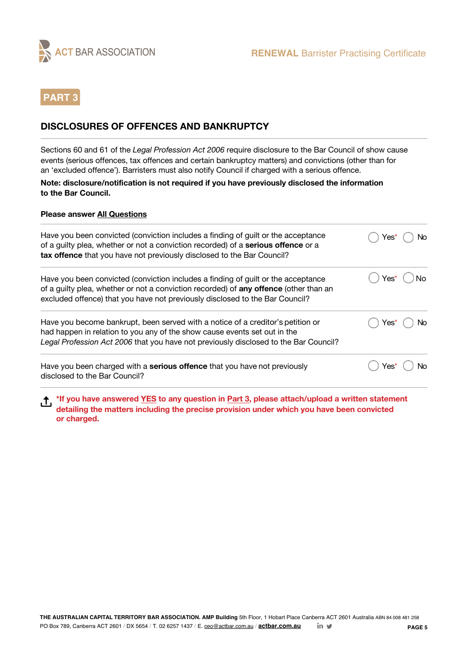

# **PART 3**

# **DISCLOSURES OF OFFENCES AND BANKRUPTCY**

Sections 60 and 61 of the *Legal Profession Act 2006* require disclosure to the Bar Council of show cause events (serious offences, tax offences and certain bankruptcy matters) and convictions (other than for an 'excluded offence'). Barristers must also notify Council if charged with a serious offence.

**Note: disclosure/notification is not required if you have previously disclosed the information to the Bar Council.**

#### **Please answer All Questions**

| Have you been convicted (conviction includes a finding of guilt or the acceptance<br>of a guilty plea, whether or not a conviction recorded) of a <b>serious offence</b> or a<br>tax offence that you have not previously disclosed to the Bar Council?    | Yes*<br>No      |
|------------------------------------------------------------------------------------------------------------------------------------------------------------------------------------------------------------------------------------------------------------|-----------------|
| Have you been convicted (conviction includes a finding of guilt or the acceptance<br>of a guilty plea, whether or not a conviction recorded) of any offence (other than an<br>excluded offence) that you have not previously disclosed to the Bar Council? | Yes*<br>$()$ No |
| Have you become bankrupt, been served with a notice of a creditor's petition or<br>had happen in relation to you any of the show cause events set out in the<br>Legal Profession Act 2006 that you have not previously disclosed to the Bar Council?       | Yes*            |
| Have you been charged with a <b>serious offence</b> that you have not previously<br>disclosed to the Bar Council?                                                                                                                                          | Yes*            |

**\*If you have answered YES to any question in Part 3, please attach/upload a written statement detailing the matters including the precise provision under which you have been convicted or charged.**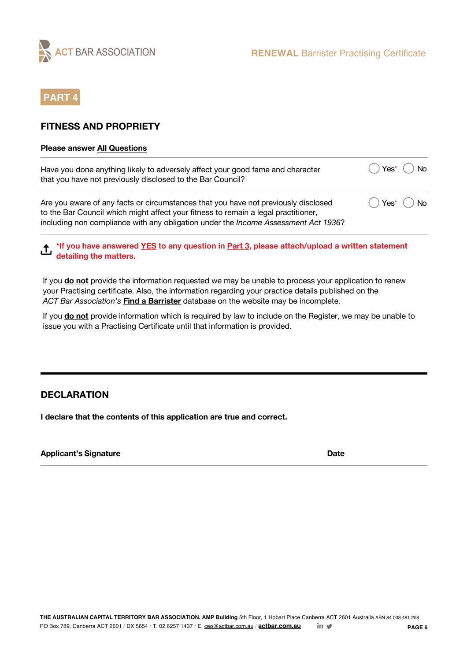

# **PART 4**

## **FITNESS AND PROPRIETY**

#### **Please answer All Questions**

| Have you done anything likely to adversely affect your good fame and character<br>that you have not previously disclosed to the Bar Council?                                                                                                                           | $() Yes^*() No$                           |  |
|------------------------------------------------------------------------------------------------------------------------------------------------------------------------------------------------------------------------------------------------------------------------|-------------------------------------------|--|
| Are you aware of any facts or circumstances that you have not previously disclosed<br>to the Bar Council which might affect your fitness to remain a legal practitioner,<br>including non compliance with any obligation under the <i>Income Assessment Act 1936</i> ? | $\bigcirc$ Yes <sup>*</sup> $\bigcirc$ No |  |

**\*If you have answered YES to any question in Part 3, please attach/upload a written statement detailing the matters.**

If you **do not** provide the information requested we may be unable to process your application to renew your Practising certificate. Also, the information regarding your practice details published on the *ACT Bar Association's* **Find a Barrister** database on the website may be incomplete.

If you **do not** provide information which is required by law to include on the Register, we may be unable to issue you with a Practising Certificate until that information is provided.

## **DECLARATION**

**I declare that the contents of this application are true and correct.**

**Applicant's Signature Date**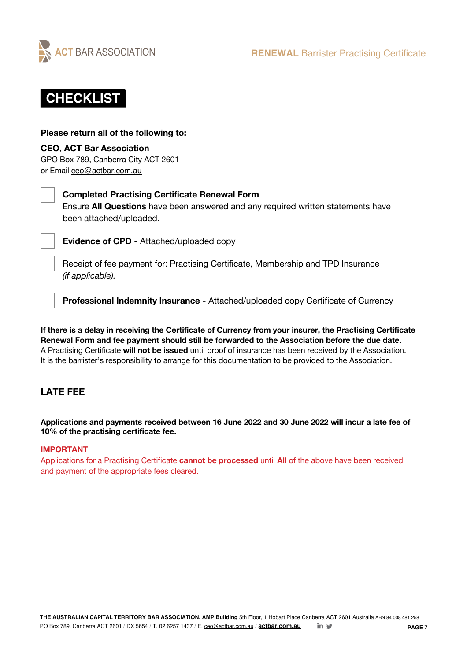



#### **Please return all of the following to:**

#### **CEO, ACT Bar Association**

GPO Box 789, Canberra City ACT 2601 or Email ceo@actbar.com.au

# **Completed Practising Certificate Renewal Form**

Ensure **All Questions** have been answered and any required written statements have been attached/uploaded.

**Evidence of CPD -** Attached/uploaded copy

Receipt of fee payment for: Practising Certificate, Membership and TPD Insurance *(if applicable).*

**Professional Indemnity Insurance -** Attached/uploaded copy Certificate of Currency

**If there is a delay in receiving the Certificate of Currency from your insurer, the Practising Certificate Renewal Form and fee payment should still be forwarded to the Association before the due date.** A Practising Certificate **will not be issued** until proof of insurance has been received by the Association. It is the barrister's responsibility to arrange for this documentation to be provided to the Association.

# **LATE FEE**

**Applications and payments received between 16 June 2022 and 30 June 2022 will incur a late fee of 10% of the practising certificate fee.**

#### **IMPORTANT**

Applications for a Practising Certificate **cannot be processed** until **All** of the above have been received and payment of the appropriate fees cleared.